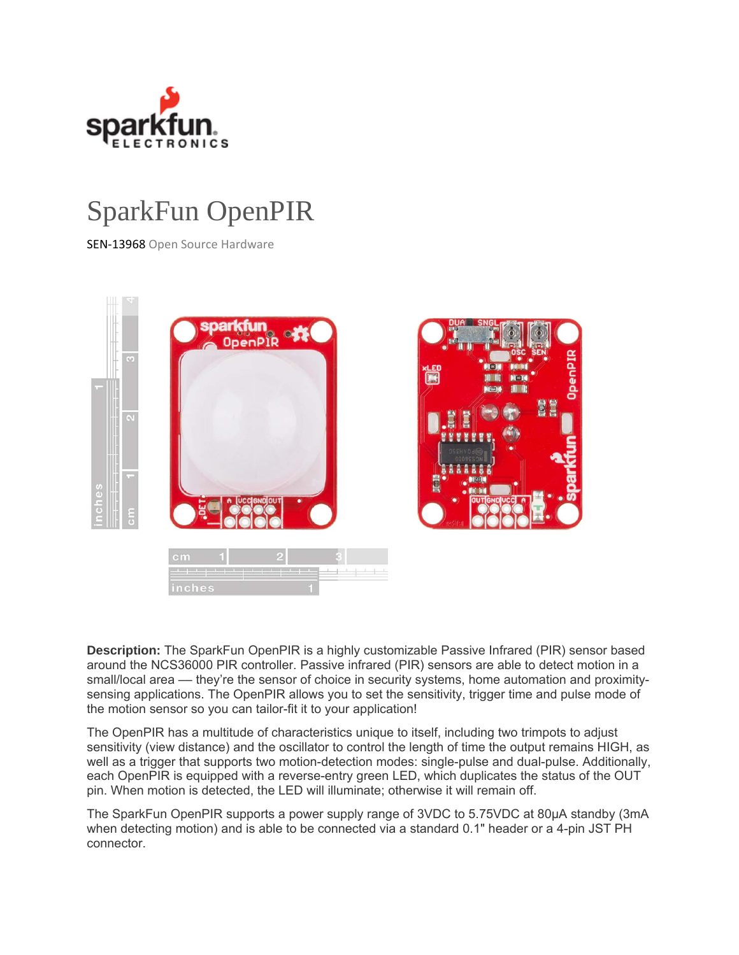

## SparkFun OpenPIR

SEN‐13968 Open Source Hardware



**Description:** The SparkFun OpenPIR is a highly customizable Passive Infrared (PIR) sensor based around the NCS36000 PIR controller. Passive infrared (PIR) sensors are able to detect motion in a small/local area — they're the sensor of choice in security systems, home automation and proximitysensing applications. The OpenPIR allows you to set the sensitivity, trigger time and pulse mode of the motion sensor so you can tailor-fit it to your application!

The OpenPIR has a multitude of characteristics unique to itself, including two trimpots to adjust sensitivity (view distance) and the oscillator to control the length of time the output remains HIGH, as well as a trigger that supports two motion-detection modes: single-pulse and dual-pulse. Additionally, each OpenPIR is equipped with a reverse-entry green LED, which duplicates the status of the OUT pin. When motion is detected, the LED will illuminate; otherwise it will remain off.

The SparkFun OpenPIR supports a power supply range of 3VDC to 5.75VDC at 80µA standby (3mA when detecting motion) and is able to be connected via a standard 0.1" header or a 4-pin JST PH connector.